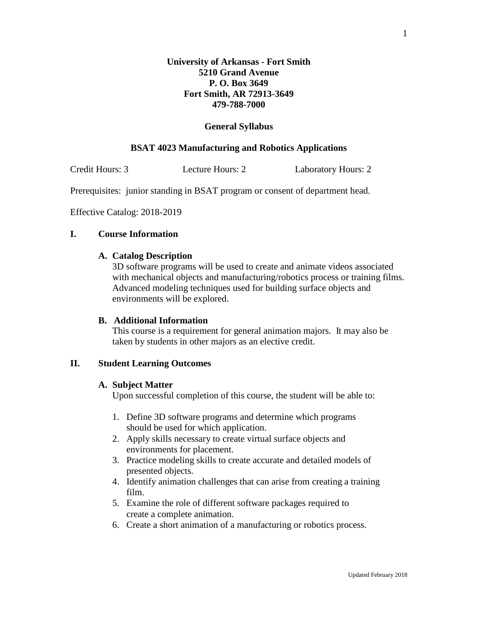### **General Syllabus**

# **BSAT 4023 Manufacturing and Robotics Applications**

Credit Hours: 3 Lecture Hours: 2 Laboratory Hours: 2

Prerequisites: junior standing in BSAT program or consent of department head.

Effective Catalog: 2018-2019

# **I. Course Information**

#### **A. Catalog Description**

3D software programs will be used to create and animate videos associated with mechanical objects and manufacturing/robotics process or training films. Advanced modeling techniques used for building surface objects and environments will be explored.

# **B. Additional Information**

This course is a requirement for general animation majors. It may also be taken by students in other majors as an elective credit.

#### **II. Student Learning Outcomes**

#### **A. Subject Matter**

Upon successful completion of this course, the student will be able to:

- 1. Define 3D software programs and determine which programs should be used for which application.
- 2. Apply skills necessary to create virtual surface objects and environments for placement.
- 3. Practice modeling skills to create accurate and detailed models of presented objects.
- 4. Identify animation challenges that can arise from creating a training film.
- 5. Examine the role of different software packages required to create a complete animation.
- 6. Create a short animation of a manufacturing or robotics process.